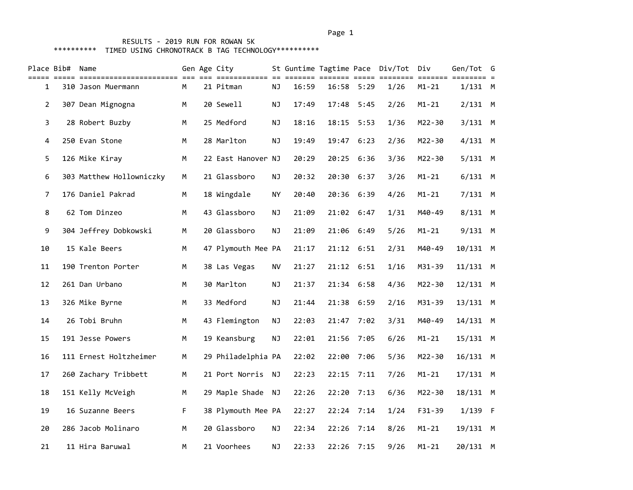| Place Bib#     | Name                     |    | Gen Age City<br>================ |           | ==== = |       |            | St Guntime Tagtime Pace Div/Tot Div<br>==== ====<br>==== | $=$ $=$ $=$ $=$ | Gen/Tot G  |  |
|----------------|--------------------------|----|----------------------------------|-----------|--------|-------|------------|----------------------------------------------------------|-----------------|------------|--|
| 1              | 310 Jason Muermann       | М  | 21 Pitman                        | ΝJ        | 16:59  |       | 16:58 5:29 | 1/26                                                     | $M1 - 21$       | $1/131$ M  |  |
| $\overline{2}$ | 307 Dean Mignogna        | M  | 20 Sewell                        | <b>NJ</b> | 17:49  | 17:48 | 5:45       | 2/26                                                     | $M1 - 21$       | $2/131$ M  |  |
| 3              | 28 Robert Buzby          | M  | 25 Medford                       | NJ        | 18:16  |       | 18:15 5:53 | 1/36                                                     | M22-30          | $3/131$ M  |  |
| 4              | 250 Evan Stone           | M  | 28 Marlton                       | NJ        | 19:49  | 19:47 | 6:23       | 2/36                                                     | M22-30          | $4/131$ M  |  |
| 5              | 126 Mike Kiray           | M  | 22 East Hanover NJ               |           | 20:29  | 20:25 | 6:36       | 3/36                                                     | M22-30          | $5/131$ M  |  |
| 6              | 303 Matthew Hollowniczky | M  | 21 Glassboro                     | NJ        | 20:32  | 20:30 | 6:37       | 3/26                                                     | $M1 - 21$       | $6/131$ M  |  |
| $\overline{7}$ | 176 Daniel Pakrad        | M  | 18 Wingdale                      | <b>NY</b> | 20:40  | 20:36 | 6:39       | 4/26                                                     | $M1 - 21$       | $7/131$ M  |  |
| 8              | 62 Tom Dinzeo            | M  | 43 Glassboro                     | <b>NJ</b> | 21:09  | 21:02 | 6:47       | 1/31                                                     | M40-49          | $8/131$ M  |  |
| 9              | 304 Jeffrey Dobkowski    | M  | 20 Glassboro                     | <b>NJ</b> | 21:09  | 21:06 | 6:49       | $5/26$                                                   | $M1 - 21$       | 9/131 M    |  |
| 10             | 15 Kale Beers            | M  | 47 Plymouth Mee PA               |           | 21:17  | 21:12 | 6:51       | 2/31                                                     | M40-49          | 10/131 M   |  |
| 11             | 190 Trenton Porter       | M  | 38 Las Vegas                     | <b>NV</b> | 21:27  |       | 21:12 6:51 | 1/16                                                     | M31-39          | $11/131$ M |  |
| 12             | 261 Dan Urbano           | М  | 30 Marlton                       | <b>NJ</b> | 21:37  | 21:34 | 6:58       | 4/36                                                     | M22-30          | $12/131$ M |  |
| 13             | 326 Mike Byrne           | м  | 33 Medford                       | <b>NJ</b> | 21:44  | 21:38 | 6:59       | 2/16                                                     | M31-39          | $13/131$ M |  |
| 14             | 26 Tobi Bruhn            | M  | 43 Flemington                    | NJ        | 22:03  | 21:47 | 7:02       | 3/31                                                     | M40-49          | $14/131$ M |  |
| 15             | 191 Jesse Powers         | M  | 19 Keansburg                     | <b>NJ</b> | 22:01  | 21:56 | 7:05       | 6/26                                                     | $M1 - 21$       | 15/131 M   |  |
| 16             | 111 Ernest Holtzheimer   | M  | 29 Philadelphia PA               |           | 22:02  | 22:00 | 7:06       | 5/36                                                     | M22-30          | $16/131$ M |  |
| 17             | 260 Zachary Tribbett     | м  | 21 Port Norris                   | ΝJ        | 22:23  | 22:15 | 7:11       | 7/26                                                     | $M1 - 21$       | $17/131$ M |  |
| 18             | 151 Kelly McVeigh        | M  | 29 Maple Shade                   | NJ        | 22:26  | 22:20 | 7:13       | 6/36                                                     | M22-30          | $18/131$ M |  |
| 19             | 16 Suzanne Beers         | F. | 38 Plymouth Mee PA               |           | 22:27  |       | 22:24 7:14 | 1/24                                                     | F31-39          | $1/139$ F  |  |
| 20             | 286 Jacob Molinaro       | М  | 20 Glassboro                     | <b>NJ</b> | 22:34  | 22:26 | 7:14       | 8/26                                                     | $M1 - 21$       | 19/131 M   |  |
| 21             | 11 Hira Baruwal          | M  | 21 Voorhees                      | ΝJ        | 22:33  | 22:26 | 7:15       | 9/26                                                     | M1-21           | 20/131 M   |  |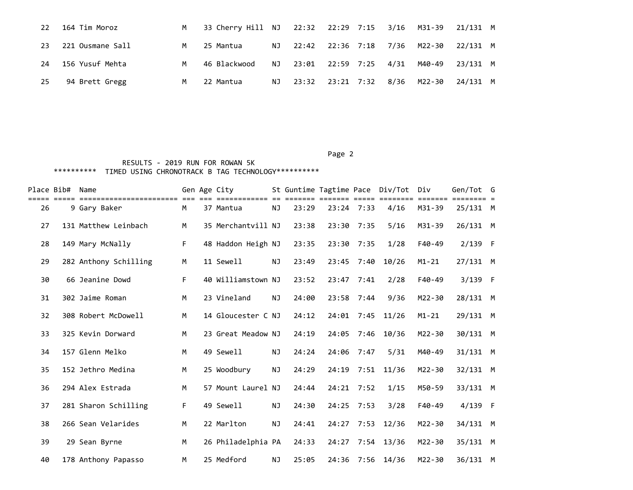| 22 | 164 Tim Moroz       | M <sub>N</sub> | 33 Cherry Hill NJ 22:32 22:29 7:15 3/16 M31-39 21/131 M |      |  |  |                                 |          |  |
|----|---------------------|----------------|---------------------------------------------------------|------|--|--|---------------------------------|----------|--|
|    | 23 221 Ousmane Sall | M              | 25 Mantua                                               |      |  |  | NJ 22:42 22:36 7:18 7/36 M22-30 | 22/131 M |  |
|    | 24 156 Yusuf Mehta  | M              | 46 Blackwood                                            |      |  |  | NJ 23:01 22:59 7:25 4/31 M40-49 | 23/131 M |  |
| 25 | 94 Brett Gregg      | M              | 22 Mantua                                               | NJ 1 |  |  | 23:32 23:21 7:32 8/36 M22-30    | 24/131 M |  |

|    | Place Bib# Name |                       |    | Gen Age City       |           | St Guntime Tagtime Pace |              |      | Div/Tot Div |            | Gen/Tot G |  |
|----|-----------------|-----------------------|----|--------------------|-----------|-------------------------|--------------|------|-------------|------------|-----------|--|
| 26 |                 | 9 Gary Baker          | M  | 37 Mantua          | ΝJ        | 23:29                   | $23:24$ 7:33 |      | 4/16        | M31-39     | 25/131 M  |  |
| 27 |                 | 131 Matthew Leinbach  | M  | 35 Merchantvill NJ |           | 23:38                   | 23:30        | 7:35 | 5/16        | M31-39     | 26/131 M  |  |
| 28 |                 | 149 Mary McNally      | F. | 48 Haddon Heigh NJ |           | 23:35                   | 23:30 7:35   |      | 1/28        | F40-49     | $2/139$ F |  |
| 29 |                 | 282 Anthony Schilling | М  | 11 Sewell          | <b>NJ</b> | 23:49                   | 23:45        | 7:40 | 10/26       | $M1 - 21$  | 27/131 M  |  |
| 30 |                 | 66 Jeanine Dowd       | F. | 40 Williamstown NJ |           | 23:52                   | 23:47        | 7:41 | 2/28        | F40-49     | $3/139$ F |  |
| 31 |                 | 302 Jaime Roman       | M  | 23 Vineland        | ΝJ        | 24:00                   | 23:58        | 7:44 | 9/36        | M22-30     | 28/131 M  |  |
| 32 |                 | 308 Robert McDowell   | M  | 14 Gloucester C NJ |           | 24:12                   | 24:01        | 7:45 | 11/26       | $M1 - 21$  | 29/131 M  |  |
| 33 |                 | 325 Kevin Dorward     | M  | 23 Great Meadow NJ |           | 24:19                   | 24:05        | 7:46 | 10/36       | $M22 - 30$ | 30/131 M  |  |
| 34 |                 | 157 Glenn Melko       | M  | 49 Sewell          | <b>NJ</b> | 24:24                   | 24:06        | 7:47 | 5/31        | M40-49     | 31/131 M  |  |
| 35 |                 | 152 Jethro Medina     | M  | 25 Woodbury        | <b>NJ</b> | 24:29                   | 24:19        | 7:51 | 11/36       | $M22 - 30$ | 32/131 M  |  |
| 36 |                 | 294 Alex Estrada      | M  | 57 Mount Laurel NJ |           | 24:44                   | 24:21        | 7:52 | 1/15        | M50-59     | 33/131 M  |  |
| 37 |                 | 281 Sharon Schilling  | F. | 49 Sewell          | <b>NJ</b> | 24:30                   | 24:25        | 7:53 | 3/28        | $F40-49$   | $4/139$ F |  |
| 38 |                 | 266 Sean Velarides    | M  | 22 Marlton         | NJ        | 24:41                   | 24:27        | 7:53 | 12/36       | M22-30     | 34/131 M  |  |
| 39 |                 | 29 Sean Byrne         | M  | 26 Philadelphia PA |           | 24:33                   | 24:27        | 7:54 | 13/36       | $M22 - 30$ | 35/131 M  |  |
| 40 |                 | 178 Anthony Papasso   | М  | 25 Medford         | ΝJ        | 25:05                   | 24:36        | 7:56 | 14/36       | M22-30     | 36/131 M  |  |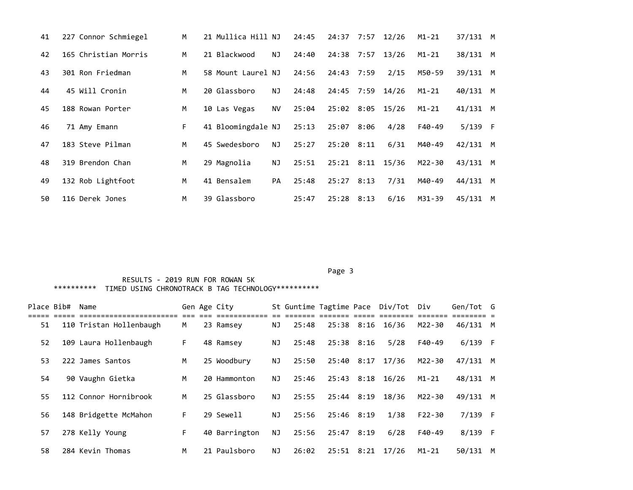| 41 | 227 Connor Schmiegel | M  | 21 Mullica Hill NJ |           | 24:45 | 24:37            | 7:57 | 12/26 | $M1 - 21$ | 37/131 M   |          |
|----|----------------------|----|--------------------|-----------|-------|------------------|------|-------|-----------|------------|----------|
| 42 | 165 Christian Morris | M  | 21 Blackwood       | NJ        | 24:40 | 24:38 7:57       |      | 13/26 | $M1 - 21$ | 38/131 M   |          |
| 43 | 301 Ron Friedman     | M  | 58 Mount Laurel NJ |           | 24:56 | 24:43 7:59       |      | 2/15  | M50-59    | 39/131     | <b>M</b> |
| 44 | 45 Will Cronin       | M  | 20 Glassboro       | NJ        | 24:48 | 24:45 7:59       |      | 14/26 | $M1 - 21$ | 40/131     | <b>M</b> |
| 45 | 188 Rowan Porter     | M  | 10 Las Vegas       | <b>NV</b> | 25:04 | 25:02 8:05 15/26 |      |       | $M1 - 21$ | $41/131$ M |          |
| 46 | 71 Amy Emann         | F. | 41 Bloomingdale NJ |           | 25:13 | 25:07 8:06       |      | 4/28  | F40-49    | $5/139$ F  |          |
| 47 | 183 Steve Pilman     | м  | 45 Swedesboro      | NJ        | 25:27 | 25:20 8:11       |      | 6/31  | M40-49    | 42/131 M   |          |
| 48 | 319 Brendon Chan     | M  | 29 Magnolia        | NJ        | 25:51 | 25:21 8:11       |      | 15/36 | M22-30    | 43/131     | <b>M</b> |
| 49 | 132 Rob Lightfoot    | M  | 41 Bensalem        | PA        | 25:48 | 25:27            | 8:13 | 7/31  | M40-49    | 44/131     | <b>M</b> |
| 50 | 116 Derek Jones      | M  | 39 Glassboro       |           | 25:47 | 25:28            | 8:13 | 6/16  | M31-39    | 45/131     | M        |

#### Page 3 and 2012 and 2012 and 2012 and 2012 and 2012 and 2012 and 2012 and 2012 and 2012 and 2012 and 2012 and

| Place Bib# | Name                    |                  | Gen Age City  |     |       |                |      | St Guntime Tagtime Pace Div/Tot Div |           | Gen/Tot G |   |
|------------|-------------------------|------------------|---------------|-----|-------|----------------|------|-------------------------------------|-----------|-----------|---|
| 51         | 110 Tristan Hollenbaugh | ieee eee ee<br>M | 23 Ramsey     | NJ  | 25:48 | 25:38 8:16     |      | 16/36                               | M22-30    | 46/131    | M |
| 52         | 109 Laura Hollenbaugh   | F.               | 48 Ramsey     | NJ  | 25:48 | $25:38$ $8:16$ |      | 5/28                                | F40-49    | $6/139$ F |   |
| 53         | 222 James Santos        | M                | 25 Woodbury   | NJ  | 25:50 | 25:40          | 8:17 | 17/36                               | M22-30    | 47/131    | M |
| 54         | 90 Vaughn Gietka        | M                | 20 Hammonton  | NJ. | 25:46 | 25:43          | 8:18 | 16/26                               | $M1 - 21$ | 48/131 M  |   |
| 55         | 112 Connor Hornibrook   | M                | 25 Glassboro  | NJ. | 25:55 | 25:44          | 8:19 | 18/36                               | M22-30    | 49/131 M  |   |
| 56         | 148 Bridgette McMahon   | F.               | 29 Sewell     | NJ  | 25:56 | 25:46 8:19     |      | 1/38                                | F22-30    | $7/139$ F |   |
| 57         | 278 Kelly Young         | F.               | 40 Barrington | NJ  | 25:56 | 25:47 8:19     |      | 6/28                                | F40-49    | $8/139$ F |   |
| 58         | 284 Kevin Thomas        | M                | 21 Paulsboro  | ΝJ  | 26:02 | 25:51 8:21     |      | 17/26                               | $M1 - 21$ | 50/131    | M |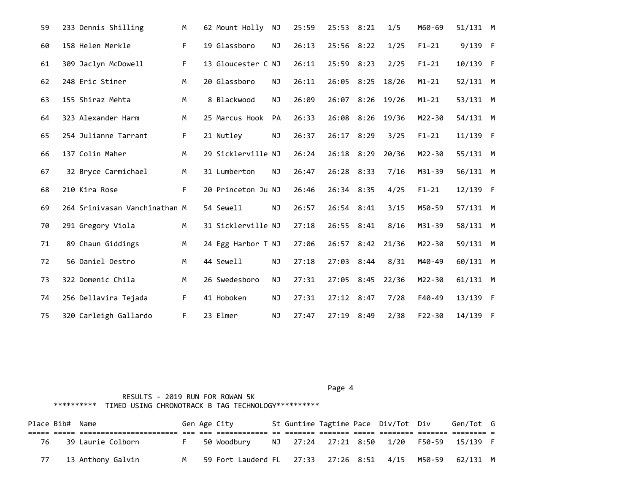| 59 | 233 Dennis Shilling           | M  | 62 Mount Holly     | ΝJ        | 25:59 | 25:53 8:21 |      | 1/5   | M60-69     | 51/131 M |  |
|----|-------------------------------|----|--------------------|-----------|-------|------------|------|-------|------------|----------|--|
| 60 | 158 Helen Merkle              | F  | 19 Glassboro       | ΝJ        | 26:13 | 25:56 8:22 |      | 1/25  | $F1 - 21$  | 9/139 F  |  |
| 61 | 309 Jaclyn McDowell           | F. | 13 Gloucester C NJ |           | 26:11 | 25:59 8:23 |      | 2/25  | $F1 - 21$  | 10/139 F |  |
| 62 | 248 Eric Stiner               | M  | 20 Glassboro       | ΝJ        | 26:11 | 26:05      | 8:25 | 18/26 | $M1 - 21$  | 52/131 M |  |
| 63 | 155 Shiraz Mehta              | M  | 8 Blackwood        | <b>NJ</b> | 26:09 | 26:07 8:26 |      | 19/26 | $M1 - 21$  | 53/131 M |  |
| 64 | 323 Alexander Harm            | M  | 25 Marcus Hook     | <b>PA</b> | 26:33 | 26:08 8:26 |      | 19/36 | M22-30     | 54/131 M |  |
| 65 | 254 Julianne Tarrant          | F. | 21 Nutley          | ΝJ        | 26:37 | 26:17 8:29 |      | 3/25  | $F1 - 21$  | 11/139 F |  |
| 66 | 137 Colin Maher               | M  | 29 Sicklerville NJ |           | 26:24 | 26:18      | 8:29 | 20/36 | M22-30     | 55/131 M |  |
| 67 | 32 Bryce Carmichael           | М  | 31 Lumberton       | NJ        | 26:47 | 26:28 8:33 |      | 7/16  | M31-39     | 56/131 M |  |
| 68 | 210 Kira Rose                 | F. | 20 Princeton Ju NJ |           | 26:46 | 26:34 8:35 |      | 4/25  | $F1 - 21$  | 12/139 F |  |
| 69 | 264 Srinivasan Vanchinathan M |    | 54 Sewell          | ΝJ        | 26:57 | 26:54 8:41 |      | 3/15  | M50-59     | 57/131 M |  |
| 70 | 291 Gregory Viola             | М  | 31 Sicklerville NJ |           | 27:18 | 26:55 8:41 |      | 8/16  | M31-39     | 58/131 M |  |
| 71 | 89 Chaun Giddings             | M  | 24 Egg Harbor T NJ |           | 27:06 | 26:57 8:42 |      | 21/36 | M22-30     | 59/131 M |  |
| 72 | 56 Daniel Destro              | M  | 44 Sewell          | ΝJ        | 27:18 | 27:03 8:44 |      | 8/31  | M40-49     | 60/131 M |  |
| 73 | 322 Domenic Chila             | M  | 26 Swedesboro      | ΝJ        | 27:31 | 27:05      | 8:45 | 22/36 | M22-30     | 61/131 M |  |
| 74 | 256 Dellavira Tejada          | F  | 41 Hoboken         | ΝJ        | 27:31 | 27:12 8:47 |      | 7/28  | F40-49     | 13/139 F |  |
| 75 | 320 Carleigh Gallardo         | F. | 23 Elmer           | NJ        | 27:47 | 27:19      | 8:49 | 2/38  | $F22 - 30$ | 14/139 F |  |

### Page 4 and the state of the state of the state of the state of the state of the state of the state of the state of the state of the state of the state of the state of the state of the state of the state of the state of the

|    | Place Bib# Name |                      |  | Gen Age City |  |  | St Guntime Tagtime Pace Div/Tot Div | Gen/Tot G                                |  |
|----|-----------------|----------------------|--|--------------|--|--|-------------------------------------|------------------------------------------|--|
|    |                 |                      |  |              |  |  |                                     |                                          |  |
| 76 |                 | 39 Laurie Colborn    |  | 50 Woodburv  |  |  |                                     | NJ 27:24 27:21 8:50 1/20 F50-59 15/139 F |  |
|    |                 | 77 13 Anthony Galvin |  |              |  |  |                                     |                                          |  |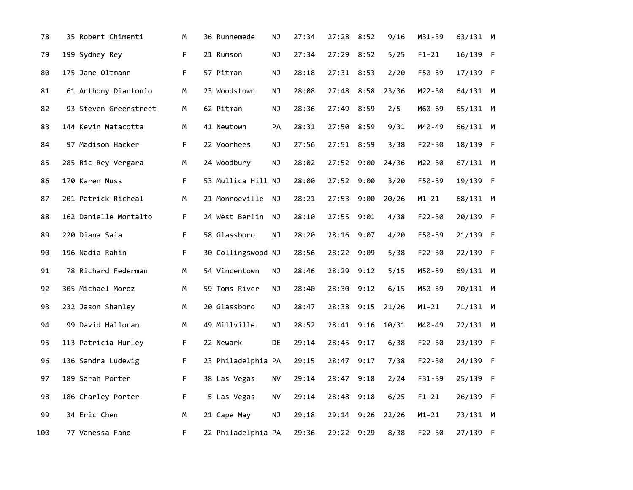| 78  | 35 Robert Chimenti    | М  | 36 Runnemede       | ΝJ | 27:34 | 27:28      | 8:52 | 9/16  | M31-39     | 63/131 M |  |
|-----|-----------------------|----|--------------------|----|-------|------------|------|-------|------------|----------|--|
| 79  | 199 Sydney Rey        | F. | 21 Rumson          | ΝJ | 27:34 | 27:29      | 8:52 | 5/25  | $F1 - 21$  | 16/139 F |  |
| 80  | 175 Jane Oltmann      | F. | 57 Pitman          | ΝJ | 28:18 | 27:31 8:53 |      | 2/20  | F50-59     | 17/139 F |  |
| 81  | 61 Anthony Diantonio  | М  | 23 Woodstown       | ΝJ | 28:08 | 27:48      | 8:58 | 23/36 | M22-30     | 64/131 M |  |
| 82  | 93 Steven Greenstreet | М  | 62 Pitman          | ΝJ | 28:36 | 27:49      | 8:59 | 2/5   | M60-69     | 65/131 M |  |
| 83  | 144 Kevin Matacotta   | M  | 41 Newtown         | PA | 28:31 | 27:50 8:59 |      | 9/31  | M40-49     | 66/131 M |  |
| 84  | 97 Madison Hacker     | F. | 22 Voorhees        | ΝJ | 27:56 | 27:51 8:59 |      | 3/38  | $F22 - 30$ | 18/139 F |  |
| 85  | 285 Ric Rey Vergara   | M  | 24 Woodbury        | ΝJ | 28:02 | 27:52      | 9:00 | 24/36 | M22-30     | 67/131 M |  |
| 86  | 170 Karen Nuss        | F. | 53 Mullica Hill NJ |    | 28:00 | 27:52 9:00 |      | 3/20  | F50-59     | 19/139 F |  |
| 87  | 201 Patrick Richeal   | М  | 21 Monroeville     | NJ | 28:21 | 27:53      | 9:00 | 20/26 | $M1 - 21$  | 68/131 M |  |
| 88  | 162 Danielle Montalto | F. | 24 West Berlin     | NJ | 28:10 | 27:55      | 9:01 | 4/38  | $F22 - 30$ | 20/139 F |  |
| 89  | 220 Diana Saia        | F. | 58 Glassboro       | NJ | 28:20 | 28:16 9:07 |      | 4/20  | F50-59     | 21/139 F |  |
| 90  | 196 Nadia Rahin       | F. | 30 Collingswood NJ |    | 28:56 | 28:22      | 9:09 | 5/38  | $F22 - 30$ | 22/139 F |  |
| 91  | 78 Richard Federman   | М  | 54 Vincentown      | ΝJ | 28:46 | 28:29      | 9:12 | 5/15  | M50-59     | 69/131 M |  |
| 92  | 305 Michael Moroz     | М  | 59 Toms River      | ΝJ | 28:40 | 28:30      | 9:12 | 6/15  | M50-59     | 70/131 M |  |
| 93  | 232 Jason Shanley     | M  | 20 Glassboro       | ΝJ | 28:47 | 28:38      | 9:15 | 21/26 | $M1 - 21$  | 71/131 M |  |
| 94  | 99 David Halloran     | M  | 49 Millville       | ΝJ | 28:52 | 28:41 9:16 |      | 10/31 | M40-49     | 72/131 M |  |
| 95  | 113 Patricia Hurley   | F. | 22 Newark          | DE | 29:14 | 28:45      | 9:17 | 6/38  | $F22 - 30$ | 23/139 F |  |
| 96  | 136 Sandra Ludewig    | F  | 23 Philadelphia PA |    | 29:15 | 28:47      | 9:17 | 7/38  | $F22 - 30$ | 24/139 F |  |
| 97  | 189 Sarah Porter      | F. | 38 Las Vegas       | ΝV | 29:14 | 28:47      | 9:18 | 2/24  | $F31 - 39$ | 25/139 F |  |
| 98  | 186 Charley Porter    | F. | 5 Las Vegas        | ΝV | 29:14 | 28:48      | 9:18 | 6/25  | $F1 - 21$  | 26/139 F |  |
| 99  | 34 Eric Chen          | М  | 21 Cape May        | ΝJ | 29:18 | 29:14      | 9:26 | 22/26 | $M1 - 21$  | 73/131 M |  |
| 100 | 77 Vanessa Fano       | F  | 22 Philadelphia PA |    | 29:36 | 29:22      | 9:29 | 8/38  | $F22 - 30$ | 27/139 F |  |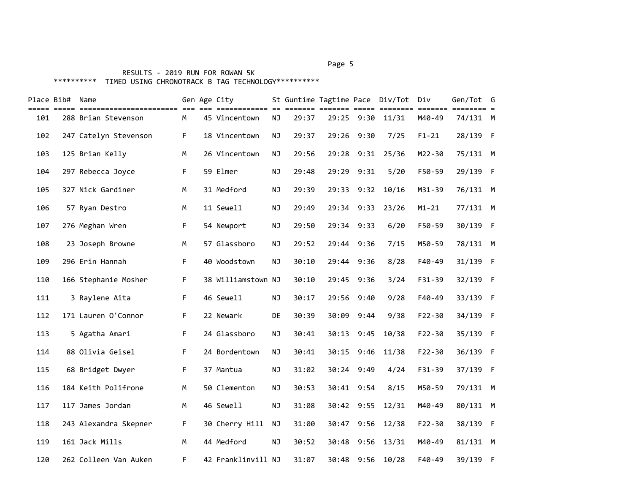#### Page 5 and 2012 and 2012 and 2012 and 2012 and 2012 and 2012 and 2012 and 2012 and 2012 and 2012 and 2012 and

|     | Place Bib# Name |                       |    | Gen Age City       |           |       |            |            | St Guntime Tagtime Pace Div/Tot Div<br>===== ======== | =======    | Gen/Tot G<br>======== = |  |
|-----|-----------------|-----------------------|----|--------------------|-----------|-------|------------|------------|-------------------------------------------------------|------------|-------------------------|--|
| 101 |                 | 288 Brian Stevenson   | M  | 45 Vincentown      | <b>NJ</b> | 29:37 | 29:25      | 9:30       | 11/31                                                 | M40-49     | 74/131 M                |  |
| 102 |                 | 247 Catelyn Stevenson | F. | 18 Vincentown      | NJ        | 29:37 | 29:26      | 9:30       | 7/25                                                  | $F1 - 21$  | 28/139 F                |  |
| 103 |                 | 125 Brian Kelly       | M  | 26 Vincentown      | ΝJ        | 29:56 | 29:28      | 9:31       | 25/36                                                 | M22-30     | 75/131 M                |  |
| 104 |                 | 297 Rebecca Joyce     | F. | 59 Elmer           | <b>NJ</b> | 29:48 |            | 29:29 9:31 | 5/20                                                  | F50-59     | 29/139 F                |  |
| 105 |                 | 327 Nick Gardiner     | M  | 31 Medford         | NJ        | 29:39 |            | 29:33 9:32 | 10/16                                                 | M31-39     | 76/131 M                |  |
| 106 |                 | 57 Ryan Destro        | M  | 11 Sewell          | <b>NJ</b> | 29:49 | 29:34      | 9:33       | 23/26                                                 | $M1 - 21$  | 77/131 M                |  |
| 107 |                 | 276 Meghan Wren       | F  | 54 Newport         | NJ        | 29:50 | 29:34 9:33 |            | 6/20                                                  | F50-59     | 30/139 F                |  |
| 108 |                 | 23 Joseph Browne      | М  | 57 Glassboro       | ΝJ        | 29:52 | 29:44      | 9:36       | 7/15                                                  | M50-59     | 78/131 M                |  |
| 109 |                 | 296 Erin Hannah       | F. | 40 Woodstown       | <b>NJ</b> | 30:10 | 29:44      | 9:36       | 8/28                                                  | $F40-49$   | 31/139 F                |  |
| 110 |                 | 166 Stephanie Mosher  | F  | 38 Williamstown NJ |           | 30:10 |            | 29:45 9:36 | 3/24                                                  | F31-39     | 32/139 F                |  |
| 111 |                 | 3 Raylene Aita        | F. | 46 Sewell          | ΝJ        | 30:17 | 29:56      | 9:40       | 9/28                                                  | $F40-49$   | 33/139 F                |  |
| 112 |                 | 171 Lauren O'Connor   | F. | 22 Newark          | DE        | 30:39 | 30:09      | 9:44       | 9/38                                                  | $F22 - 30$ | 34/139 F                |  |
| 113 |                 | 5 Agatha Amari        | F  | 24 Glassboro       | <b>NJ</b> | 30:41 | 30:13      | 9:45       | 10/38                                                 | $F22 - 30$ | 35/139 F                |  |
| 114 |                 | 88 Olivia Geisel      | F  | 24 Bordentown      | ΝJ        | 30:41 | 30:15      | 9:46       | 11/38                                                 | $F22 - 30$ | 36/139 F                |  |
| 115 |                 | 68 Bridget Dwyer      | F. | 37 Mantua          | <b>NJ</b> | 31:02 | 30:24      | 9:49       | 4/24                                                  | F31-39     | 37/139 F                |  |
| 116 |                 | 184 Keith Polifrone   | M  | 50 Clementon       | NJ        | 30:53 |            | 30:41 9:54 | 8/15                                                  | M50-59     | 79/131 M                |  |
| 117 |                 | 117 James Jordan      | м  | 46 Sewell          | ΝJ        | 31:08 |            | 30:42 9:55 | 12/31                                                 | M40-49     | 80/131 M                |  |
| 118 |                 | 243 Alexandra Skepner | F. | 30 Cherry Hill     | <b>NJ</b> | 31:00 | 30:47      | 9:56       | 12/38                                                 | $F22 - 30$ | 38/139 F                |  |
| 119 |                 | 161 Jack Mills        | M  | 44 Medford         | NJ        | 30:52 | 30:48      | 9:56       | 13/31                                                 | M40-49     | 81/131 M                |  |
| 120 |                 | 262 Colleen Van Auken | F. | 42 Franklinvill NJ |           | 31:07 | 30:48      | 9:56       | 10/28                                                 | F40-49     | 39/139 F                |  |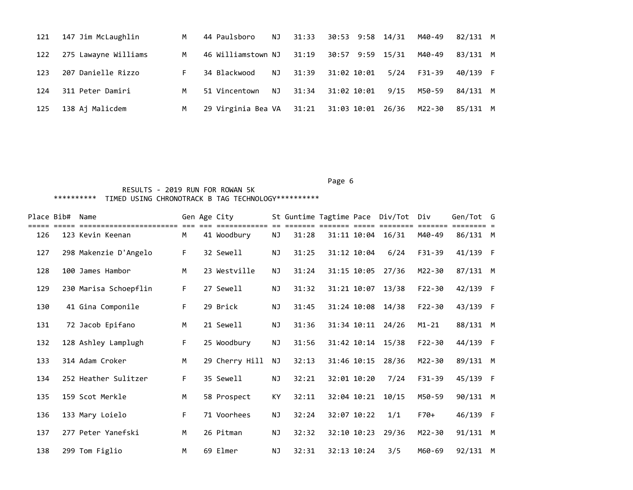| 121 | 147 Jim McLaughlin   | M  | 44 Paulsboro - NJ                          | 31:33             | 30:53 9:58 14/31 |       | M40-49 | 82/131 M |  |
|-----|----------------------|----|--------------------------------------------|-------------------|------------------|-------|--------|----------|--|
| 122 | 275 Lawayne Williams | M  | 46 Williamstown NJ                         | 31:19             | 30:57 9:59       | 15/31 | M40-49 | 83/131 M |  |
| 123 | 207 Danielle Rizzo   | F. | NJ<br>34 Blackwood                         | 31:39             | 31:02 10:01      | 5/24  | F31-39 | 40/139 F |  |
| 124 | 311 Peter Damiri     | M  | NJ<br>51 Vincentown                        | 31:34 31:02 10:01 |                  | 9/15  | M50-59 | 84/131 M |  |
| 125 | 138 Aj Malicdem      | M  | 29 Virginia Bea VA 31:21 31:03 10:01 26/36 |                   |                  |       | M22-30 | 85/131 M |  |

#### Page 6 and the contract of the contract of the contract of the contract of the contract of the contract of the

| Place Bib# | Name                                      |    | Gen Age City             |           |       |             | St Guntime Tagtime Pace Div/Tot | Div        | Gen/Tot G |  |
|------------|-------------------------------------------|----|--------------------------|-----------|-------|-------------|---------------------------------|------------|-----------|--|
| 126        | ---------------------<br>123 Kevin Keenan | M  | ---------<br>41 Woodbury | ΝJ        | 31:28 | 31:11 10:04 | 16/31                           | M40-49     | 86/131 M  |  |
| 127        | 298 Makenzie D'Angelo                     | F. | 32 Sewell                | NJ.       | 31:25 | 31:12 10:04 | 6/24                            | F31-39     | 41/139 F  |  |
| 128        | 100 James Hambor                          | M  | 23 Westville             | ΝJ        | 31:24 | 31:15 10:05 | 27/36                           | M22-30     | 87/131 M  |  |
| 129        | 230 Marisa Schoepflin                     | F. | 27 Sewell                | NJ        | 31:32 | 31:21 10:07 | 13/38                           | $F22 - 30$ | 42/139 F  |  |
| 130        | 41 Gina Componile                         | F. | 29 Brick                 | NJ        | 31:45 | 31:24 10:08 | 14/38                           | $F22 - 30$ | 43/139 F  |  |
| 131        | 72 Jacob Epifano                          | M  | 21 Sewell                | <b>NJ</b> | 31:36 | 31:34 10:11 | 24/26                           | $M1 - 21$  | 88/131 M  |  |
| 132        | 128 Ashley Lamplugh                       | F. | 25 Woodbury              | ΝJ        | 31:56 | 31:42 10:14 | 15/38                           | $F22 - 30$ | 44/139 F  |  |
| 133        | 314 Adam Croker                           | M  | 29 Cherry Hill           | NJ        | 32:13 | 31:46 10:15 | 28/36                           | M22-30     | 89/131 M  |  |
| 134        | 252 Heather Sulitzer                      | F. | 35 Sewell                | NJ        | 32:21 | 32:01 10:20 | 7/24                            | $F31 - 39$ | 45/139 F  |  |
| 135        | 159 Scot Merkle                           | M  | 58 Prospect              | KY        | 32:11 | 32:04 10:21 | 10/15                           | M50-59     | 90/131 M  |  |
| 136        | 133 Mary Loielo                           | F. | 71 Voorhees              | ΝJ        | 32:24 | 32:07 10:22 | 1/1                             | $F70+$     | 46/139 F  |  |
| 137        | 277 Peter Yanefski                        | M  | 26 Pitman                | NJ        | 32:32 | 32:10 10:23 | 29/36                           | M22-30     | 91/131 M  |  |
| 138        | 299 Tom Figlio                            | M  | 69 Elmer                 | ΝJ        | 32:31 | 32:13 10:24 | 3/5                             | M60-69     | 92/131 M  |  |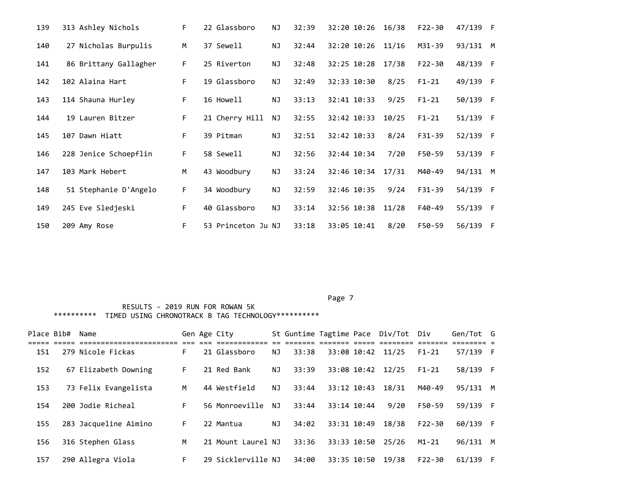| 139 | 313 Ashley Nichols    | F. | 22 Glassboro       | ΝJ        | 32:39 | 32:20 10:26 | 16/38 | $F22 - 30$ | 47/139 F |     |
|-----|-----------------------|----|--------------------|-----------|-------|-------------|-------|------------|----------|-----|
| 140 | 27 Nicholas Burpulis  | M  | 37 Sewell          | ΝJ        | 32:44 | 32:20 10:26 | 11/16 | M31-39     | 93/131 M |     |
| 141 | 86 Brittany Gallagher | F. | 25 Riverton        | <b>NJ</b> | 32:48 | 32:25 10:28 | 17/38 | $F22 - 30$ | 48/139 F |     |
| 142 | 102 Alaina Hart       | F. | 19 Glassboro       | ΝJ        | 32:49 | 32:33 10:30 | 8/25  | $F1 - 21$  | 49/139 F |     |
| 143 | 114 Shauna Hurley     | F  | 16 Howell          | ΝJ        | 33:13 | 32:41 10:33 | 9/25  | $F1 - 21$  | 50/139 F |     |
| 144 | 19 Lauren Bitzer      | F. | 21 Cherry Hill     | ΝJ        | 32:55 | 32:42 10:33 | 10/25 | $F1 - 21$  | 51/139 F |     |
| 145 | 107 Dawn Hiatt        | F. | 39 Pitman          | <b>NJ</b> | 32:51 | 32:42 10:33 | 8/24  | $F31 - 39$ | 52/139 F |     |
| 146 | 228 Jenice Schoepflin | F. | 58 Sewell          | ΝJ        | 32:56 | 32:44 10:34 | 7/20  | F50-59     | 53/139 F |     |
| 147 | 103 Mark Hebert       | М  | 43 Woodbury        | ΝJ        | 33:24 | 32:46 10:34 | 17/31 | M40-49     | 94/131 M |     |
| 148 | 51 Stephanie D'Angelo | F. | 34 Woodbury        | <b>NJ</b> | 32:59 | 32:46 10:35 | 9/24  | $F31 - 39$ | 54/139 F |     |
| 149 | 245 Eve Sledjeski     | F. | 40 Glassboro       | <b>NJ</b> | 33:14 | 32:56 10:38 | 11/28 | F40-49     | 55/139   | - F |
| 150 | 209 Amy Rose          | F  | 53 Princeton Ju NJ |           | 33:18 | 33:05 10:41 | 8/20  | F50-59     | 56/139   | - F |

| Place Bib# | Name                  |    | Gen Age City       |     |       |             |             | St Guntime Tagtime Pace Div/Tot Div |            | Gen/Tot G |          |
|------------|-----------------------|----|--------------------|-----|-------|-------------|-------------|-------------------------------------|------------|-----------|----------|
|            |                       |    |                    |     |       |             |             |                                     |            |           |          |
| 151        | 279 Nicole Fickas     | F. | 21 Glassboro       | NJ  | 33:38 |             |             | 33:08 10:42 11/25                   | $F1 - 21$  | 57/139 F  |          |
| 152        | 67 Elizabeth Downing  | F. | 21 Red Bank        | NJ  | 33:39 |             |             | 33:08 10:42 12/25                   | $F1 - 21$  | 58/139 F  |          |
| 153        | 73 Felix Evangelista  | M  | 44 Westfield       | ΝJ  | 33:44 | 33:12 10:43 |             | 18/31                               | M40-49     | 95/131 M  |          |
| 154        | 200 Jodie Richeal     | F. | 56 Monroeville     | NJ. | 33:44 | 33:14 10:44 |             | 9/20                                | F50-59     | 59/139 F  |          |
| 155        | 283 Jacqueline Aimino | F. | 22 Mantua          | ΝJ  | 34:02 | 33:31 10:49 |             | 18/38                               | $F22 - 30$ | 60/139 F  |          |
| 156        | 316 Stephen Glass     | M  | 21 Mount Laurel NJ |     | 33:36 |             | 33:33 10:50 | 25/26                               | $M1 - 21$  | 96/131    | <b>M</b> |
| 157        | 290 Allegra Viola     | F. | 29 Sicklerville NJ |     | 34:00 |             | 33:35 10:50 | 19/38                               | $F22 - 30$ | 61/139    | - F      |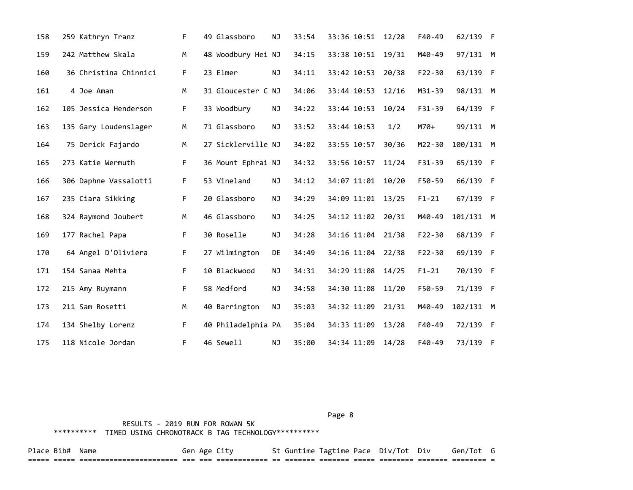| 158 | 259 Kathryn Tranz     | F. | 49 Glassboro       | <b>NJ</b> | 33:54 | 33:36 10:51       | 12/28 | $F40-49$   | 62/139 F  |  |
|-----|-----------------------|----|--------------------|-----------|-------|-------------------|-------|------------|-----------|--|
| 159 | 242 Matthew Skala     | M  | 48 Woodbury Hei NJ |           | 34:15 | 33:38 10:51       | 19/31 | M40-49     | 97/131 M  |  |
| 160 | 36 Christina Chinnici | F. | 23 Elmer           | <b>NJ</b> | 34:11 | 33:42 10:53 20/38 |       | $F22 - 30$ | 63/139 F  |  |
| 161 | 4 Joe Aman            | М  | 31 Gloucester C NJ |           | 34:06 | 33:44 10:53       | 12/16 | M31-39     | 98/131 M  |  |
| 162 | 105 Jessica Henderson | F. | 33 Woodbury        | ΝJ        | 34:22 | 33:44 10:53       | 10/24 | $F31 - 39$ | 64/139 F  |  |
| 163 | 135 Gary Loudenslager | М  | 71 Glassboro       | <b>NJ</b> | 33:52 | 33:44 10:53       | 1/2   | M70+       | 99/131 M  |  |
| 164 | 75 Derick Fajardo     | M  | 27 Sicklerville NJ |           | 34:02 | 33:55 10:57       | 30/36 | M22-30     | 100/131 M |  |
| 165 | 273 Katie Wermuth     | F. | 36 Mount Ephrai NJ |           | 34:32 | 33:56 10:57       | 11/24 | $F31-39$   | 65/139 F  |  |
| 166 | 306 Daphne Vassalotti | F. | 53 Vineland        | <b>NJ</b> | 34:12 | 34:07 11:01       | 10/20 | F50-59     | 66/139 F  |  |
| 167 | 235 Ciara Sikking     | F. | 20 Glassboro       | <b>NJ</b> | 34:29 | 34:09 11:01 13/25 |       | $F1 - 21$  | 67/139 F  |  |
| 168 | 324 Raymond Joubert   | М  | 46 Glassboro       | NJ        | 34:25 | 34:12 11:02       | 20/31 | M40-49     | 101/131 M |  |
| 169 | 177 Rachel Papa       | F  | 30 Roselle         | NJ        | 34:28 | 34:16 11:04       | 21/38 | $F22 - 30$ | 68/139 F  |  |
| 170 | 64 Angel D'Oliviera   | F  | 27 Wilmington      | DE        | 34:49 | 34:16 11:04       | 22/38 | $F22 - 30$ | 69/139 F  |  |
| 171 | 154 Sanaa Mehta       | F. | 10 Blackwood       | <b>NJ</b> | 34:31 | 34:29 11:08       | 14/25 | $F1 - 21$  | 70/139 F  |  |
| 172 | 215 Amy Ruymann       | F. | 58 Medford         | <b>NJ</b> | 34:58 | 34:30 11:08       | 11/20 | F50-59     | 71/139 F  |  |
| 173 | 211 Sam Rosetti       | M  | 40 Barrington      | <b>NJ</b> | 35:03 | 34:32 11:09       | 21/31 | M40-49     | 102/131 M |  |
| 174 | 134 Shelby Lorenz     | F. | 40 Philadelphia PA |           | 35:04 | 34:33 11:09       | 13/28 | $F40-49$   | 72/139 F  |  |
| 175 | 118 Nicole Jordan     | F. | 46 Sewell          | ΝJ        | 35:00 | 34:34 11:09       | 14/28 | $F40-49$   | 73/139 F  |  |

Page 8 and 2012 and 2012 and 2012 and 2012 and 2012 and 2012 and 2012 and 2012 and 2012 and 2012 and 2012 and

 RESULTS - 2019 RUN FOR ROWAN 5K \*\*\*\*\*\*\*\*\*\* TIMED USING CHRONOTRACK B TAG TECHNOLOGY\*\*\*\*\*\*\*\*\*\*

Place Bib# Name The Gen Age City St Guntime Tagtime Pace Div/Tot Div Gen/Tot G ===== ===== ======================= === === ============ == ======= ======= ===== ======== ======= ======== =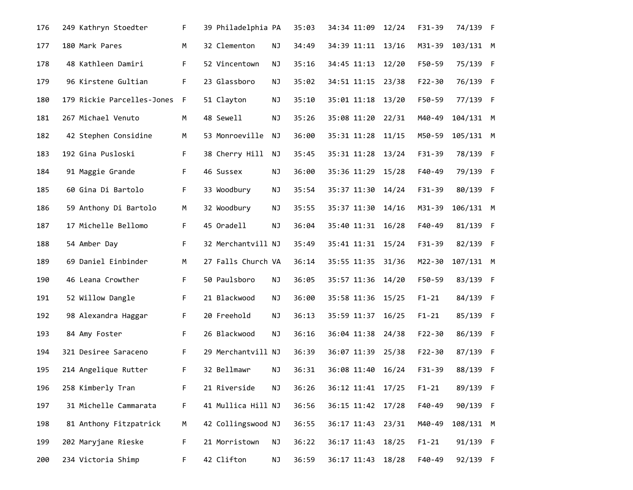| 176 | 249 Kathryn Stoedter       | F.   | 39 Philadelphia PA |    | 35:03 | 34:34 11:09 | 12/24 | $F31-39$   | 74/139 F  |  |
|-----|----------------------------|------|--------------------|----|-------|-------------|-------|------------|-----------|--|
| 177 | 180 Mark Pares             | М    | 32 Clementon       | ΝJ | 34:49 | 34:39 11:11 | 13/16 | M31-39     | 103/131 M |  |
| 178 | 48 Kathleen Damiri         | F.   | 52 Vincentown      | NJ | 35:16 | 34:45 11:13 | 12/20 | F50-59     | 75/139 F  |  |
| 179 | 96 Kirstene Gultian        | F    | 23 Glassboro       | NJ | 35:02 | 34:51 11:15 | 23/38 | $F22 - 30$ | 76/139 F  |  |
| 180 | 179 Rickie Parcelles-Jones | $-F$ | 51 Clayton         | ΝJ | 35:10 | 35:01 11:18 | 13/20 | F50-59     | 77/139 F  |  |
| 181 | 267 Michael Venuto         | М    | 48 Sewell          | ΝJ | 35:26 | 35:08 11:20 | 22/31 | M40-49     | 104/131 M |  |
| 182 | 42 Stephen Considine       | M    | 53 Monroeville     | ΝJ | 36:00 | 35:31 11:28 | 11/15 | M50-59     | 105/131 M |  |
| 183 | 192 Gina Pusloski          | F.   | 38 Cherry Hill     | ΝJ | 35:45 | 35:31 11:28 | 13/24 | F31-39     | 78/139 F  |  |
| 184 | 91 Maggie Grande           | F.   | 46 Sussex          | ΝJ | 36:00 | 35:36 11:29 | 15/28 | F40-49     | 79/139 F  |  |
| 185 | 60 Gina Di Bartolo         | F.   | 33 Woodbury        | ΝJ | 35:54 | 35:37 11:30 | 14/24 | F31-39     | 80/139 F  |  |
| 186 | 59 Anthony Di Bartolo      | M    | 32 Woodbury        | NJ | 35:55 | 35:37 11:30 | 14/16 | M31-39     | 106/131 M |  |
| 187 | 17 Michelle Bellomo        | F.   | 45 Oradell         | ΝJ | 36:04 | 35:40 11:31 | 16/28 | F40-49     | 81/139 F  |  |
| 188 | 54 Amber Day               | F.   | 32 Merchantvill NJ |    | 35:49 | 35:41 11:31 | 15/24 | F31-39     | 82/139 F  |  |
| 189 | 69 Daniel Einbinder        | М    | 27 Falls Church VA |    | 36:14 | 35:55 11:35 | 31/36 | M22-30     | 107/131 M |  |
| 190 | 46 Leana Crowther          | F.   | 50 Paulsboro       | ΝJ | 36:05 | 35:57 11:36 | 14/20 | F50-59     | 83/139 F  |  |
| 191 | 52 Willow Dangle           | F.   | 21 Blackwood       | ΝJ | 36:00 | 35:58 11:36 | 15/25 | $F1 - 21$  | 84/139 F  |  |
| 192 | 98 Alexandra Haggar        | F.   | 20 Freehold        | NJ | 36:13 | 35:59 11:37 | 16/25 | $F1 - 21$  | 85/139 F  |  |
| 193 | 84 Amy Foster              | F.   | 26 Blackwood       | ΝJ | 36:16 | 36:04 11:38 | 24/38 | $F22 - 30$ | 86/139 F  |  |
| 194 | 321 Desiree Saraceno       | F.   | 29 Merchantvill NJ |    | 36:39 | 36:07 11:39 | 25/38 | $F22 - 30$ | 87/139 F  |  |
| 195 | 214 Angelique Rutter       | F.   | 32 Bellmawr        | NJ | 36:31 | 36:08 11:40 | 16/24 | F31-39     | 88/139 F  |  |
| 196 | 258 Kimberly Tran          | F.   | 21 Riverside       | ΝJ | 36:26 | 36:12 11:41 | 17/25 | $F1 - 21$  | 89/139 F  |  |
| 197 | 31 Michelle Cammarata      | F    | 41 Mullica Hill NJ |    | 36:56 | 36:15 11:42 | 17/28 | F40-49     | 90/139 F  |  |
| 198 | 81 Anthony Fitzpatrick     | M    | 42 Collingswood NJ |    | 36:55 | 36:17 11:43 | 23/31 | M40-49     | 108/131 M |  |
| 199 | 202 Maryjane Rieske        | F.   | 21 Morristown      | ΝJ | 36:22 | 36:17 11:43 | 18/25 | $F1 - 21$  | 91/139 F  |  |
| 200 | 234 Victoria Shimp         | F    | 42 Clifton         | ΝJ | 36:59 | 36:17 11:43 | 18/28 | F40-49     | 92/139 F  |  |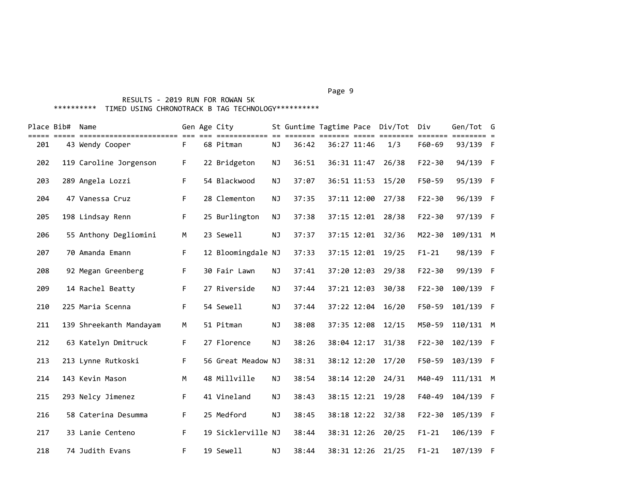# RESULTS - 2019 RUN FOR ROWAN 5K \*\*\*\*\*\*\*\*\*\* TIMED USING CHRONOTRACK B TAG TECHNOLOGY\*\*\*\*\*\*\*\*\*\*

|     | Place Bib# Name |                         |    | Gen Age City       |           |       |             | St Guntime Tagtime Pace Div/Tot Div | =======    | Gen/Tot G   |  |
|-----|-----------------|-------------------------|----|--------------------|-----------|-------|-------------|-------------------------------------|------------|-------------|--|
| 201 |                 | 43 Wendy Cooper         | F. | 68 Pitman          | NJ        | 36:42 | 36:27 11:46 | 1/3                                 | F60-69     | 93/139 F    |  |
| 202 |                 | 119 Caroline Jorgenson  | F  | 22 Bridgeton       | NJ        | 36:51 | 36:31 11:47 | 26/38                               | $F22 - 30$ | 94/139 F    |  |
| 203 |                 | 289 Angela Lozzi        | F. | 54 Blackwood       | <b>NJ</b> | 37:07 | 36:51 11:53 | 15/20                               | F50-59     | 95/139 F    |  |
| 204 |                 | 47 Vanessa Cruz         | F. | 28 Clementon       | <b>NJ</b> | 37:35 | 37:11 12:00 | 27/38                               | $F22 - 30$ | 96/139 F    |  |
| 205 |                 | 198 Lindsay Renn        | F. | 25 Burlington      | NJ        | 37:38 | 37:15 12:01 | 28/38                               | $F22 - 30$ | 97/139 F    |  |
| 206 |                 | 55 Anthony Degliomini   | М  | 23 Sewell          | ΝJ        | 37:37 | 37:15 12:01 | 32/36                               | M22-30     | 109/131 M   |  |
| 207 |                 | 70 Amanda Emann         | F. | 12 Bloomingdale NJ |           | 37:33 | 37:15 12:01 | 19/25                               | $F1 - 21$  | 98/139 F    |  |
| 208 |                 | 92 Megan Greenberg      | F. | 30 Fair Lawn       | NJ        | 37:41 | 37:20 12:03 | 29/38                               | $F22 - 30$ | 99/139 F    |  |
| 209 |                 | 14 Rachel Beatty        | F. | 27 Riverside       | <b>NJ</b> | 37:44 | 37:21 12:03 | 30/38                               | $F22 - 30$ | 100/139 F   |  |
| 210 |                 | 225 Maria Scenna        | F. | 54 Sewell          | ΝJ        | 37:44 | 37:22 12:04 | 16/20                               | F50-59     | 101/139 F   |  |
| 211 |                 | 139 Shreekanth Mandayam | M  | 51 Pitman          | NJ        | 38:08 |             | 37:35 12:08 12/15                   | M50-59     | 110/131 M   |  |
| 212 |                 | 63 Katelyn Dmitruck     | F. | 27 Florence        | ΝJ        | 38:26 | 38:04 12:17 | 31/38                               | $F22 - 30$ | 102/139 F   |  |
| 213 |                 | 213 Lynne Rutkoski      | F. | 56 Great Meadow NJ |           | 38:31 | 38:12 12:20 | 17/20                               | F50-59     | 103/139 F   |  |
| 214 |                 | 143 Kevin Mason         | M  | 48 Millville       | <b>NJ</b> | 38:54 | 38:14 12:20 | 24/31                               | M40-49     | $111/131$ M |  |
| 215 |                 | 293 Nelcy Jimenez       | F. | 41 Vineland        | <b>NJ</b> | 38:43 | 38:15 12:21 | 19/28                               | F40-49     | 104/139 F   |  |
| 216 |                 | 58 Caterina Desumma     | F  | 25 Medford         | <b>NJ</b> | 38:45 |             | 38:18 12:22 32/38                   | $F22 - 30$ | 105/139 F   |  |
| 217 |                 | 33 Lanie Centeno        | F  | 19 Sicklerville NJ |           | 38:44 | 38:31 12:26 | 20/25                               | $F1 - 21$  | 106/139 F   |  |
| 218 |                 | 74 Judith Evans         | F. | 19 Sewell          | ΝJ        | 38:44 | 38:31 12:26 | 21/25                               | $F1 - 21$  | 107/139 F   |  |

#### Page 9 - Page 9 - Page 9 - Page 9 - Page 9 - Page 9 - Page 9 - Page 9 - Page 9 - Page 9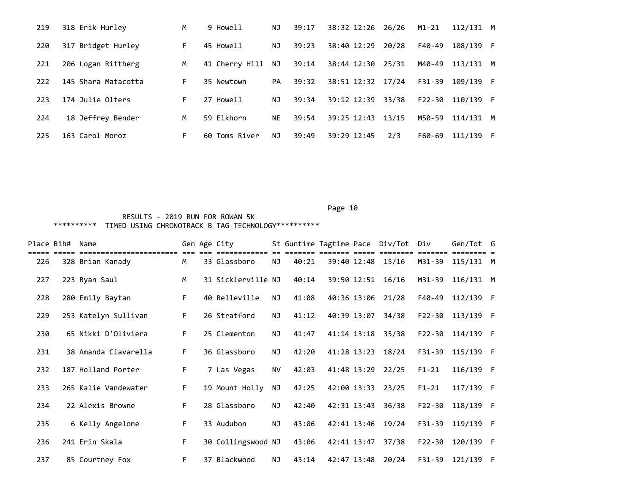| 219 | 318 Erik Hurley     | M  | 9 Howell          | NJ        | 39:17 | 38:32 12:26 26/26 |       | M1-21      | $112/131$ M |          |
|-----|---------------------|----|-------------------|-----------|-------|-------------------|-------|------------|-------------|----------|
| 220 | 317 Bridget Hurley  | F. | 45 Howell         | ΝJ        | 39:23 | 38:40 12:29       | 20/28 | F40-49     | 108/139 F   |          |
| 221 | 206 Logan Rittberg  | M  | 41 Cherry Hill NJ |           | 39:14 | 38:44 12:30       | 25/31 | M40-49     | 113/131     | M        |
| 222 | 145 Shara Matacotta | F. | 35 Newtown        | PA        | 39:32 | 38:51 12:32 17/24 |       | $F31-39$   | 109/139 F   |          |
| 223 | 174 Julie Olters    | F. | 27 Howell         | ΝJ        | 39:34 | 39:12 12:39       | 33/38 | $F22 - 30$ | 110/139 F   |          |
| 224 | 18 Jeffrey Bender   | M  | 59 Elkhorn        | <b>NE</b> | 39:54 | 39:25 12:43       | 13/15 | M50-59     | 114/131     | <b>M</b> |
| 225 | 163 Carol Moroz     | F. | 60 Toms River     | ΝJ        | 39:49 | 39:29 12:45       | 2/3   | F60-69     | 111/139     | - F      |

| Place Bib# | Name                 |    | Gen Age City       |    |       |             | St Guntime Tagtime Pace Div/Tot Div |            | Gen/Tot G        |  |
|------------|----------------------|----|--------------------|----|-------|-------------|-------------------------------------|------------|------------------|--|
| 226        | 328 Brian Kanady     | M  | 33 Glassboro       | NJ | 40:21 |             | 39:40 12:48 15/16                   |            | M31-39 115/131 M |  |
| 227        | 223 Ryan Saul        | M  | 31 Sicklerville NJ |    | 40:14 |             | 39:50 12:51 16/16                   | M31-39     | $116/131$ M      |  |
| 228        | 280 Emily Baytan     | F. | 40 Belleville      | NJ | 41:08 |             | 40:36 13:06 21/28                   | F40-49     | 112/139 F        |  |
| 229        | 253 Katelyn Sullivan | F. | 26 Stratford       | NJ | 41:12 | 40:39 13:07 | 34/38                               | $F22 - 30$ | 113/139 F        |  |
| 230        | 65 Nikki D'Oliviera  | F. | 25 Clementon       | NJ | 41:47 |             | 41:14 13:18 35/38                   | F22-30     | 114/139 F        |  |
| 231        | 38 Amanda Ciavarella | F. | 36 Glassboro       | NJ | 42:20 |             | 41:28 13:23 18/24                   | $F31-39$   | 115/139 F        |  |
| 232        | 187 Holland Porter   | F. | 7 Las Vegas        | NV | 42:03 |             | 41:48 13:29 22/25                   | $F1-21$    | 116/139 F        |  |
| 233        | 265 Kalie Vandewater | F. | 19 Mount Holly     | NJ | 42:25 |             | 42:00 13:33 23/25                   | $F1-21$    | 117/139 F        |  |
| 234        | 22 Alexis Browne     | F. | 28 Glassboro       | NJ | 42:40 | 42:31 13:43 | 36/38                               | $F22 - 30$ | 118/139 F        |  |
| 235        | 6 Kelly Angelone     | F. | 33 Audubon         | NJ | 43:06 |             | 42:41 13:46 19/24                   | $F31 - 39$ | 119/139 F        |  |
| 236        | 241 Erin Skala       | F. | 30 Collingswood NJ |    | 43:06 | 42:41 13:47 | 37/38                               | $F22 - 30$ | 120/139 F        |  |
| 237        | 85 Courtney Fox      | F. | 37 Blackwood       | NJ | 43:14 | 42:47 13:48 | 20/24                               | F31-39     | 121/139 F        |  |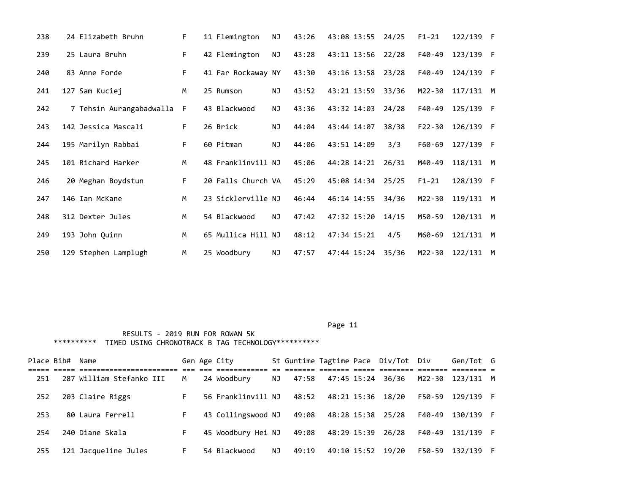| 238 | 24 Elizabeth Bruhn       | F. | 11 Flemington      | ΝJ        | 43:26 | 43:08 13:55 24/25 |       | $F1 - 21$  | 122/139     | - F |
|-----|--------------------------|----|--------------------|-----------|-------|-------------------|-------|------------|-------------|-----|
| 239 | 25 Laura Bruhn           | F. | 42 Flemington      | NJ        | 43:28 | 43:11 13:56 22/28 |       | F40-49     | 123/139 F   |     |
| 240 | 83 Anne Forde            | F. | 41 Far Rockaway NY |           | 43:30 | 43:16 13:58 23/28 |       | F40-49     | 124/139     | - F |
| 241 | 127 Sam Kuciej           | M  | 25 Rumson          | ΝJ        | 43:52 | 43:21 13:59       | 33/36 | M22-30     | $117/131$ M |     |
| 242 | 7 Tehsin Aurangabadwalla | -F | 43 Blackwood       | NJ        | 43:36 | 43:32 14:03       | 24/28 | F40-49     | 125/139     | - F |
| 243 | 142 Jessica Mascali      | F. | 26 Brick           | <b>NJ</b> | 44:04 | 43:44 14:07       | 38/38 | $F22 - 30$ | 126/139     | - F |
| 244 | 195 Marilyn Rabbai       | F. | 60 Pitman          | NJ        | 44:06 | 43:51 14:09       | 3/3   | F60-69     | 127/139 F   |     |
| 245 | 101 Richard Harker       | M  | 48 Franklinvill NJ |           | 45:06 | 44:28 14:21       | 26/31 | M40-49     | 118/131 M   |     |
| 246 | 20 Meghan Boydstun       | F. | 20 Falls Church VA |           | 45:29 | 45:08 14:34 25/25 |       | $F1 - 21$  | 128/139 F   |     |
| 247 | 146 Ian McKane           | M  | 23 Sicklerville NJ |           | 46:44 | 46:14 14:55       | 34/36 | M22-30     | 119/131 M   |     |
| 248 | 312 Dexter Jules         | M  | 54 Blackwood       | <b>NJ</b> | 47:42 | 47:32 15:20       | 14/15 | M50-59     | 120/131 M   |     |
| 249 | 193 John Quinn           | M  | 65 Mullica Hill NJ |           | 48:12 | 47:34 15:21       | 4/5   | M60-69     | 121/131 M   |     |
| 250 | 129 Stephen Lamplugh     | M  | 25 Woodbury        | <b>NJ</b> | 47:57 | 47:44 15:24       | 35/36 | M22-30     | $122/131$ M |     |

|     | Place Bib# Name |                          |    | Gen Age City       |     |       |                   | St Guntime Tagtime Pace Div/Tot Div |        | Gen/Tot G |  |
|-----|-----------------|--------------------------|----|--------------------|-----|-------|-------------------|-------------------------------------|--------|-----------|--|
| 251 |                 | 287 William Stefanko III | м  | 24 Woodbury        | NJ  | 47:58 | 47:45 15:24 36/36 |                                     | M22-30 | 123/131 M |  |
| 252 |                 | 203 Claire Riggs         | F. | 56 Franklinvill NJ |     | 48:52 |                   | 48:21 15:36 18/20                   | F50-59 | 129/139 F |  |
| 253 |                 | 80 Laura Ferrell         | F. | 43 Collingswood NJ |     | 49:08 | 48:28 15:38 25/28 |                                     | F40-49 | 130/139 F |  |
| 254 |                 | 240 Diane Skala          | F. | 45 Woodbury Hei NJ |     | 49:08 |                   | 48:29 15:39 26/28                   | F40-49 | 131/139 F |  |
| 255 |                 | 121 Jacqueline Jules     | F. | 54 Blackwood       | NJ. | 49:19 |                   | 49:10 15:52 19/20                   | F50-59 | 132/139 F |  |